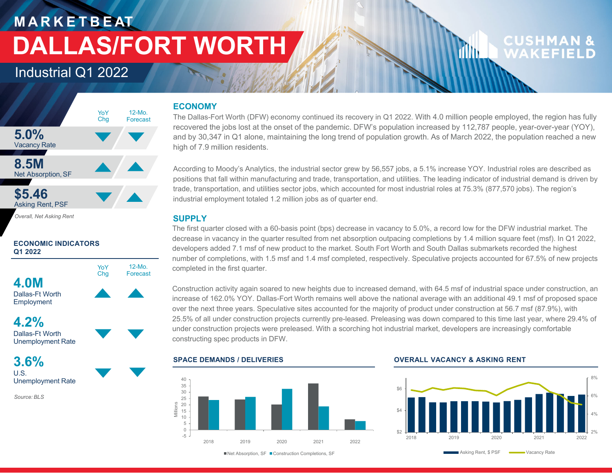### Industrial Q1 2022



### **ECONOMIC INDICATORS Q1 2022**



**4.2%**Dallas-Ft WorthUnemployment Rate

**3.6%**U.S.Unemployment Rate

*Source: BLS*

### **ECONOMY**

The Dallas-Fort Worth (DFW) economy continued its recovery in Q1 2022. With 4.0 million people employed, the region has fully recovered the jobs lost at the onset of the pandemic. DFW's population increased by 112,787 people, year-over-year (YOY), and by 30,347 in Q1 alone, maintaining the long trend of population growth. As of March 2022, the population reached a new high of 7.9 million residents.

According to Moody's Analytics, the industrial sector grew by 56,557 jobs, a 5.1% increase YOY. Industrial roles are described as positions that fall within manufacturing and trade, transportation, and utilities. The leading indicator of industrial demand is driven by trade, transportation, and utilities sector jobs, which accounted for most industrial roles at 75.3% (877,570 jobs). The region's industrial employment totaled 1.2 million jobs as of quarter end.

### **SUPPLY**

The first quarter closed with a 60-basis point (bps) decrease in vacancy to 5.0%, a record low for the DFW industrial market. The decrease in vacancy in the quarter resulted from net absorption outpacing completions by 1.4 million square feet (msf). In Q1 2022, developers added 7.1 msf of new product to the market. South Fort Worth and South Dallas submarkets recorded the highest number of completions, with 1.5 msf and 1.4 msf completed, respectively. Speculative projects accounted for 67.5% of new projects completed in the first quarter.

Construction activity again soared to new heights due to increased demand, with 64.5 msf of industrial space under construction, an increase of 162.0% YOY. Dallas-Fort Worth remains well above the national average with an additional 49.1 msf of proposed space over the next three years. Speculative sites accounted for the majority of product under construction at 56.7 msf (87.9%), with 25.5% of all under construction projects currently pre-leased. Preleasing was down compared to this time last year, where 29.4% of under construction projects were preleased. With a scorching hot industrial market, developers are increasingly comfortable constructing spec products in DFW.



#### **SPACE DEMANDS / DELIVERIES OVERALL VACANCY & ASKING RENT**



CUSHMAN

WAKFFIFI

din 1

■Net Absorption, SF ■ Construction Completions, SF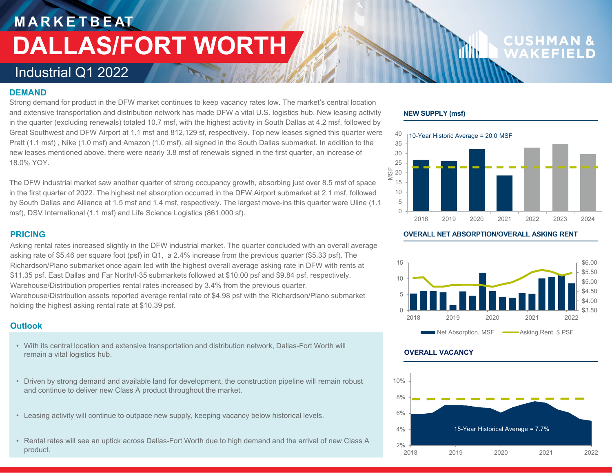# **CUSHMA**<br>WAKEFII

### Industrial Q1 2022

### **DEMAND**

Strong demand for product in the DFW market continues to keep vacancy rates low. The market's central location and extensive transportation and distribution network has made DFW a vital U.S. logistics hub. New leasing activity in the quarter (excluding renewals) totaled 10.7 msf, with the highest activity in South Dallas at 4.2 msf, followed by Great Southwest and DFW Airport at 1.1 msf and 812,129 sf, respectively. Top new leases signed this quarter were Pratt (1.1 msf) , Nike (1.0 msf) and Amazon (1.0 msf), all signed in the South Dallas submarket. In addition to the new leases mentioned above, there were nearly 3.8 msf of renewals signed in the first quarter, an increase of 18.0% YOY.

The DFW industrial market saw another quarter of strong occupancy growth, absorbing just over 8.5 msf of space in the first quarter of 2022. The highest net absorption occurred in the DFW Airport submarket at 2.1 msf, followed by South Dallas and Alliance at 1.5 msf and 1.4 msf, respectively. The largest move-ins this quarter were Uline (1.1 msf), DSV International (1.1 msf) and Life Science Logistics (861,000 sf).

### **PRICING**

Asking rental rates increased slightly in the DFW industrial market. The quarter concluded with an overall average asking rate of \$5.46 per square foot (psf) in Q1, a 2.4% increase from the previous quarter (\$5.33 psf). The Richardson/Plano submarket once again led with the highest overall average asking rate in DFW with rents at \$11.35 psf. East Dallas and Far North/I-35 submarkets followed at \$10.00 psf and \$9.84 psf, respectively. Warehouse/Distribution properties rental rates increased by 3.4% from the previous quarter. Warehouse/Distribution assets reported average rental rate of \$4.98 psf with the Richardson/Plano submarket holding the highest asking rental rate at \$10.39 psf.

### **Outlook**

- With its central location and extensive transportation and distribution network, Dallas-Fort Worth will remain a vital logistics hub.
- Driven by strong demand and available land for development, the construction pipeline will remain robust and continue to deliver new Class A product throughout the market.
- Leasing activity will continue to outpace new supply, keeping vacancy below historical levels.
- Rental rates will see an uptick across Dallas-Fort Worth due to high demand and the arrival of new Class A product.

### **NEW SUPPLY (msf)**



illin.

**OVERALL NET ABSORPTION/OVERALL ASKING RENT**



### **OVERALL VACANCY**

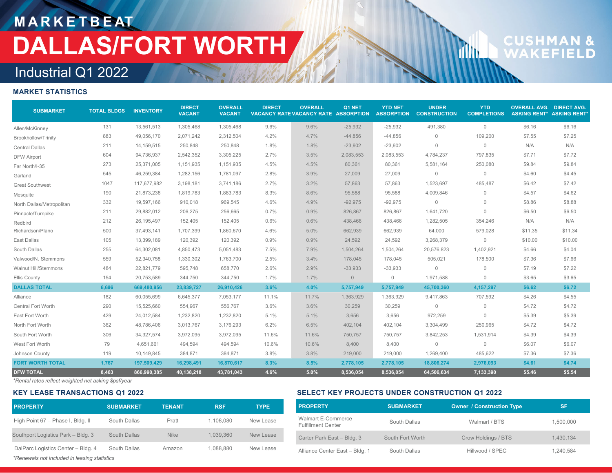# **CUSHMAN &**<br>WAKEFIELD

**d** 

## Industrial Q1 2022

### **MARKET STATISTICS**

| <b>SUBMARKET</b>          | <b>TOTAL BLDGS</b> | <b>INVENTORY</b> | <b>DIRECT</b><br><b>VACANT</b> | <b>OVERALL</b><br><b>VACANT</b> | <b>DIRECT</b> | <b>OVERALL</b><br>VACANCY RATE VACANCY RATE ABSORPTION | Q1 NET    | <b>YTD NET</b><br><b>ABSORPTION</b> | <b>UNDER</b><br><b>CONSTRUCTION</b> | <b>YTD</b><br><b>COMPLETIONS</b> | <b>OVERALL AVG. DIRECT AVG.</b> | <b>ASKING RENT* ASKING RENT*</b> |
|---------------------------|--------------------|------------------|--------------------------------|---------------------------------|---------------|--------------------------------------------------------|-----------|-------------------------------------|-------------------------------------|----------------------------------|---------------------------------|----------------------------------|
| Allen/McKinney            | 131                | 13,561,513       | 1,305,468                      | 1,305,468                       | 9.6%          | 9.6%                                                   | $-25,932$ | $-25,932$                           | 491,380                             | $\mathbf{0}$                     | \$6.16                          | \$6.16                           |
| Brookhollow/Trinity       | 883                | 49,056,170       | 2,071,242                      | 2,312,504                       | 4.2%          | 4.7%                                                   | $-44,856$ | $-44,856$                           | $\Omega$                            | 109,200                          | \$7.55                          | \$7.25                           |
| <b>Central Dallas</b>     | 211                | 14,159,515       | 250,848                        | 250,848                         | 1.8%          | 1.8%                                                   | $-23,902$ | $-23,902$                           | $\mathbf{0}$                        | $\mathbb O$                      | N/A                             | N/A                              |
| <b>DFW Airport</b>        | 604                | 94,736,937       | 2,542,352                      | 3,305,225                       | 2.7%          | 3.5%                                                   | 2,083,553 | 2,083,553                           | 4,784,237                           | 797,835                          | \$7.71                          | \$7.72                           |
| Far North/I-35            | 273                | 25,371,005       | 1,151,935                      | 1,151,935                       | 4.5%          | 4.5%                                                   | 80,361    | 80,361                              | 5,581,164                           | 250,080                          | \$9.84                          | \$9.84                           |
| Garland                   | 545                | 46,259,384       | 1,282,156                      | 1,781,097                       | 2.8%          | 3.9%                                                   | 27,009    | 27,009                              | $\mathbf{0}$                        | $\mathbb O$                      | \$4.60                          | \$4.45                           |
| <b>Great Southwest</b>    | 1047               | 117,677,982      | 3,198,181                      | 3,741,186                       | 2.7%          | 3.2%                                                   | 57,863    | 57,863                              | 1,523,697                           | 485,487                          | \$6.42                          | \$7.42                           |
| Mesquite                  | 190                | 21,873,238       | 1,819,783                      | 1,883,783                       | 8.3%          | 8.6%                                                   | 95,588    | 95,588                              | 4,009,846                           | $\mathbf 0$                      | \$4.57                          | \$4.62                           |
| North Dallas/Metropolitan | 332                | 19,597,166       | 910,018                        | 969,545                         | 4.6%          | 4.9%                                                   | $-92,975$ | $-92,975$                           | $\Omega$                            | $\mathbf 0$                      | \$8.86                          | \$8.88                           |
| Pinnacle/Turnpike         | 211                | 29,882,012       | 206,275                        | 256,665                         | 0.7%          | 0.9%                                                   | 826,867   | 826,867                             | 1,641,720                           | $\mathbf 0$                      | \$6.50                          | \$6.50                           |
| Redbird                   | 212                | 26,195,497       | 152,405                        | 152,405                         | 0.6%          | 0.6%                                                   | 438,466   | 438,466                             | 1,282,505                           | 354,246                          | N/A                             | N/A                              |
| Richardson/Plano          | 500                | 37,493,141       | 1,707,399                      | 1,860,670                       | 4.6%          | 5.0%                                                   | 662,939   | 662,939                             | 64,000                              | 579,028                          | \$11.35                         | \$11.34                          |
| East Dallas               | 105                | 13.399.189       | 120,392                        | 120,392                         | 0.9%          | 0.9%                                                   | 24,592    | 24,592                              | 3,268,379                           | $\mathbb O$                      | \$10.00                         | \$10.00                          |
| South Dallas              | 255                | 64,302,081       | 4,850,473                      | 5,051,483                       | 7.5%          | 7.9%                                                   | 1,504,264 | 1,504,264                           | 20,576,823                          | 1,402,921                        | \$4.66                          | \$4.04                           |
| Valwood/N. Stemmons       | 559                | 52,340,758       | 1,330,302                      | 1,763,700                       | 2.5%          | 3.4%                                                   | 178,045   | 178,045                             | 505,021                             | 178,500                          | \$7.36                          | \$7.66                           |
| Walnut Hill/Stemmons      | 484                | 22,821,779       | 595,748                        | 658,770                         | 2.6%          | 2.9%                                                   | $-33,933$ | $-33,933$                           | $\Omega$                            | $\mathbf{0}$                     | \$7.19                          | \$7.22                           |
| Ellis County              | 154                | 20,753,589       | 344,750                        | 344,750                         | 1.7%          | 1.7%                                                   | $\circ$   | $\mathbf 0$                         | 1,971,588                           | $\mathbf{0}$                     | \$3.65                          | \$3.65                           |
| <b>DALLAS TOTAL</b>       | 6,696              | 669,480,956      | 23,839,727                     | 26,910,426                      | 3.6%          | 4.0%                                                   | 5,757,949 | 5,757,949                           | 45,700,360                          | 4, 157, 297                      | \$6.62                          | \$6.72                           |
| Alliance                  | 182                | 60,055,699       | 6,645,377                      | 7,053,177                       | 11.1%         | 11.7%                                                  | 1,363,929 | 1,363,929                           | 9,417,863                           | 707,592                          | \$4.26                          | \$4.55                           |
| Central Fort Worth        | 290                | 15,525,660       | 554,967                        | 556,767                         | 3.6%          | 3.6%                                                   | 30,259    | 30,259                              | $\mathbf{0}$                        | $\mathbf 0$                      | \$4.72                          | \$4.72                           |
| East Fort Worth           | 429                | 24,012,584       | 1,232,820                      | 1,232,820                       | 5.1%          | 5.1%                                                   | 3,656     | 3,656                               | 972,259                             | $\mathbf{0}$                     | \$5.39                          | \$5.39                           |
| North Fort Worth          | 362                | 48,786,406       | 3,013,767                      | 3,176,293                       | 6.2%          | 6.5%                                                   | 402,104   | 402,104                             | 3,304,499                           | 250,965                          | \$4.72                          | \$4.72                           |
| South Fort Worth          | 306                | 34, 327, 574     | 3,972,095                      | 3,972,095                       | 11.6%         | 11.6%                                                  | 750,757   | 750,757                             | 3,842,253                           | 1,531,914                        | \$4.39                          | \$4.39                           |
| West Fort Worth           | 79                 | 4,651,661        | 494,594                        | 494,594                         | 10.6%         | 10.6%                                                  | 8,400     | 8,400                               | $\mathbf 0$                         | $\mathbf 0$                      | \$6.07                          | \$6.07                           |
| Johnson County            | 119                | 10,149,845       | 384,871                        | 384,871                         | 3.8%          | 3.8%                                                   | 219,000   | 219,000                             | 1,269,400                           | 485,622                          | \$7.36                          | \$7.36                           |
| <b>FORT WORTH TOTAL</b>   | 1,767              | 197,509,429      | 16,298,491                     | 16,870,617                      | 8.3%          | 8.5%                                                   | 2,778,105 | 2,778,105                           | 18,806,274                          | 2,976,093                        | \$4.61                          | \$4.74                           |
| <b>DFW TOTAL</b>          | 8,463              | 866,990,385      | 40,138,218                     | 43,781,043                      | 4.6%          | 5.0%                                                   | 8,536,054 | 8,536,054                           | 64,506,634                          | 7,133,390                        | \$5.46                          | \$5.54                           |

*\*Rental rates reflect weighted net asking \$psf/year*

#### **KEY LEASE TRANSACTIONS Q1 2022**

### *\*Renewals not included in leasing statistics* **PROPERTY SUBMARKET

TENANT

RSF TYPE** High Point 67 – Phase I, Bldg. II South Dallas Pratt 1,108,080 New Lease Southport Logistics Park – Bldg. 3 South Dallas Nike 1,039,360 New Lease DalParc Logistics Center – Bldg. 4 South Dallas Amazon 1,088,880 New Lease

### **SELECT KEY PROJECTS UNDER CONSTRUCTION Q1 2022**

| <b>PROPERTY</b>                                 | <b>SUBMARKET</b> | Owner / Construction Type | <b>SF</b> |
|-------------------------------------------------|------------------|---------------------------|-----------|
| Walmart E-Commerce<br><b>Fulfillment Center</b> | South Dallas     | Walmart / BTS             | 1,500,000 |
| Carter Park East - Bldg. 3                      | South Fort Worth | Crow Holdings / BTS       | 1.430.134 |
| Alliance Center East - Bldg. 1                  | South Dallas     | Hillwood / SPEC           | 1.240.584 |